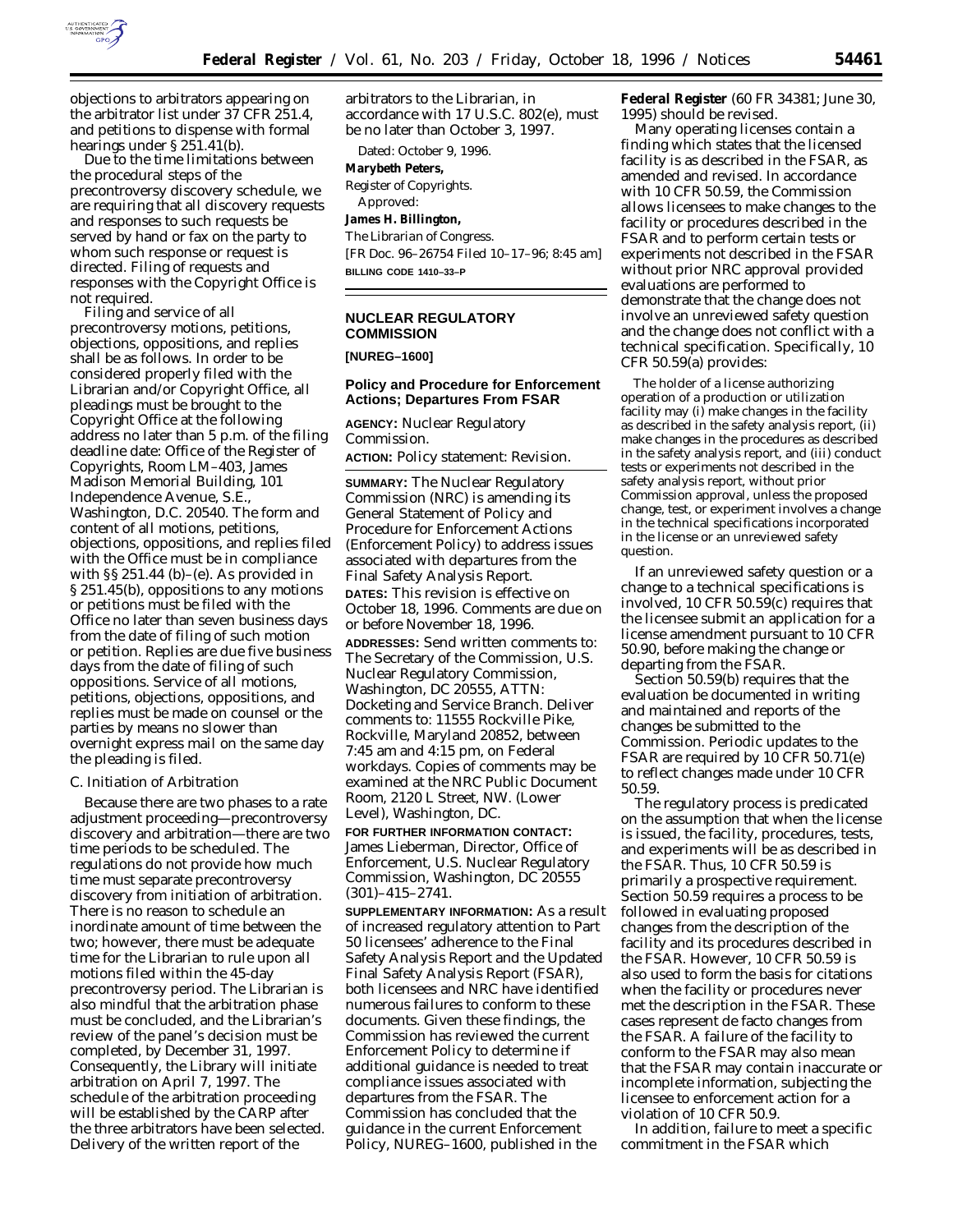

objections to arbitrators appearing on the arbitrator list under 37 CFR 251.4, and petitions to dispense with formal hearings under § 251.41(b).

Due to the time limitations between the procedural steps of the precontroversy discovery schedule, we are requiring that all discovery requests and responses to such requests be served by hand or fax on the party to whom such response or request is directed. Filing of requests and responses with the Copyright Office is not required.

Filing and service of all precontroversy motions, petitions, objections, oppositions, and replies shall be as follows. In order to be considered properly filed with the Librarian and/or Copyright Office, all pleadings must be brought to the Copyright Office at the following address no later than 5 p.m. of the filing deadline date: Office of the Register of Copyrights, Room LM–403, James Madison Memorial Building, 101 Independence Avenue, S.E., Washington, D.C. 20540. The form and content of all motions, petitions, objections, oppositions, and replies filed with the Office must be in compliance with  $\S$ § 251.44 (b)–(e). As provided in § 251.45(b), oppositions to any motions or petitions must be filed with the Office no later than seven business days from the date of filing of such motion or petition. Replies are due five business days from the date of filing of such oppositions. Service of all motions, petitions, objections, oppositions, and replies must be made on counsel or the parties by means no slower than overnight express mail on the same day the pleading is filed.

#### *C. Initiation of Arbitration*

Because there are two phases to a rate adjustment proceeding—precontroversy discovery and arbitration—there are two time periods to be scheduled. The regulations do not provide how much time must separate precontroversy discovery from initiation of arbitration. There is no reason to schedule an inordinate amount of time between the two; however, there must be adequate time for the Librarian to rule upon all motions filed within the 45-day precontroversy period. The Librarian is also mindful that the arbitration phase must be concluded, and the Librarian's review of the panel's decision must be completed, by December 31, 1997. Consequently, the Library will initiate arbitration on April 7, 1997. The schedule of the arbitration proceeding will be established by the CARP after the three arbitrators have been selected. Delivery of the written report of the

arbitrators to the Librarian, in accordance with 17 U.S.C. 802(e), must be no later than October 3, 1997.

Dated: October 9, 1996. **Marybeth Peters,** *Register of Copyrights.* Approved: **James H. Billington,** *The Librarian of Congress.*

[FR Doc. 96–26754 Filed 10–17–96; 8:45 am] **BILLING CODE 1410–33–P**

# **NUCLEAR REGULATORY COMMISSION**

# **[NUREG–1600]**

# **Policy and Procedure for Enforcement Actions; Departures From FSAR**

**AGENCY:** Nuclear Regulatory Commission.

**ACTION:** Policy statement: Revision.

**SUMMARY:** The Nuclear Regulatory Commission (NRC) is amending its General Statement of Policy and Procedure for Enforcement Actions (Enforcement Policy) to address issues associated with departures from the Final Safety Analysis Report. **DATES:** This revision is effective on October 18, 1996. Comments are due on or before November 18, 1996. **ADDRESSES:** Send written comments to: The Secretary of the Commission, U.S. Nuclear Regulatory Commission, Washington, DC 20555, ATTN: Docketing and Service Branch. Deliver comments to: 11555 Rockville Pike, Rockville, Maryland 20852, between 7:45 am and 4:15 pm, on Federal workdays. Copies of comments may be examined at the NRC Public Document Room, 2120 L Street, NW. (Lower Level), Washington, DC.

**FOR FURTHER INFORMATION CONTACT:** James Lieberman, Director, Office of Enforcement, U.S. Nuclear Regulatory Commission, Washington, DC 20555 (301)–415–2741.

**SUPPLEMENTARY INFORMATION:** As a result of increased regulatory attention to Part 50 licensees' adherence to the Final Safety Analysis Report and the Updated Final Safety Analysis Report (FSAR), both licensees and NRC have identified numerous failures to conform to these documents. Given these findings, the Commission has reviewed the current Enforcement Policy to determine if additional guidance is needed to treat compliance issues associated with departures from the FSAR. The Commission has concluded that the guidance in the current Enforcement Policy, NUREG–1600, published in the

**Federal Register** (60 FR 34381; June 30, 1995) should be revised.

Many operating licenses contain a finding which states that the licensed facility is as described in the FSAR, as amended and revised. In accordance with 10 CFR 50.59, the Commission allows licensees to make changes to the facility or procedures described in the FSAR and to perform certain tests or experiments not described in the FSAR without prior NRC approval provided evaluations are performed to demonstrate that the change does not involve an unreviewed safety question and the change does not conflict with a technical specification. Specifically, 10 CFR 50.59(a) provides:

The holder of a license authorizing operation of a production or utilization facility may (i) make changes in the facility as described in the safety analysis report, (ii) make changes in the procedures as described in the safety analysis report, and (iii) conduct tests or experiments not described in the safety analysis report, without prior Commission approval, unless the proposed change, test, or experiment involves a change in the technical specifications incorporated in the license or an unreviewed safety question.

If an unreviewed safety question or a change to a technical specifications is involved, 10 CFR 50.59(c) requires that the licensee submit an application for a license amendment pursuant to 10 CFR 50.90, before making the change or departing from the FSAR.

Section 50.59(b) requires that the evaluation be documented in writing and maintained and reports of the changes be submitted to the Commission. Periodic updates to the FSAR are required by 10 CFR 50.71(e) to reflect changes made under 10 CFR 50.59.

The regulatory process is predicated on the assumption that when the license is issued, the facility, procedures, tests, and experiments will be as described in the FSAR. Thus, 10 CFR 50.59 is primarily a prospective requirement. Section 50.59 requires a process to be followed in evaluating proposed changes from the description of the facility and its procedures described in the FSAR. However, 10 CFR 50.59 is also used to form the basis for citations when the facility or procedures never met the description in the FSAR. These cases represent de facto changes from the FSAR. A failure of the facility to conform to the FSAR may also mean that the FSAR may contain inaccurate or incomplete information, subjecting the licensee to enforcement action for a violation of 10 CFR 50.9.

In addition, failure to meet a specific commitment in the FSAR which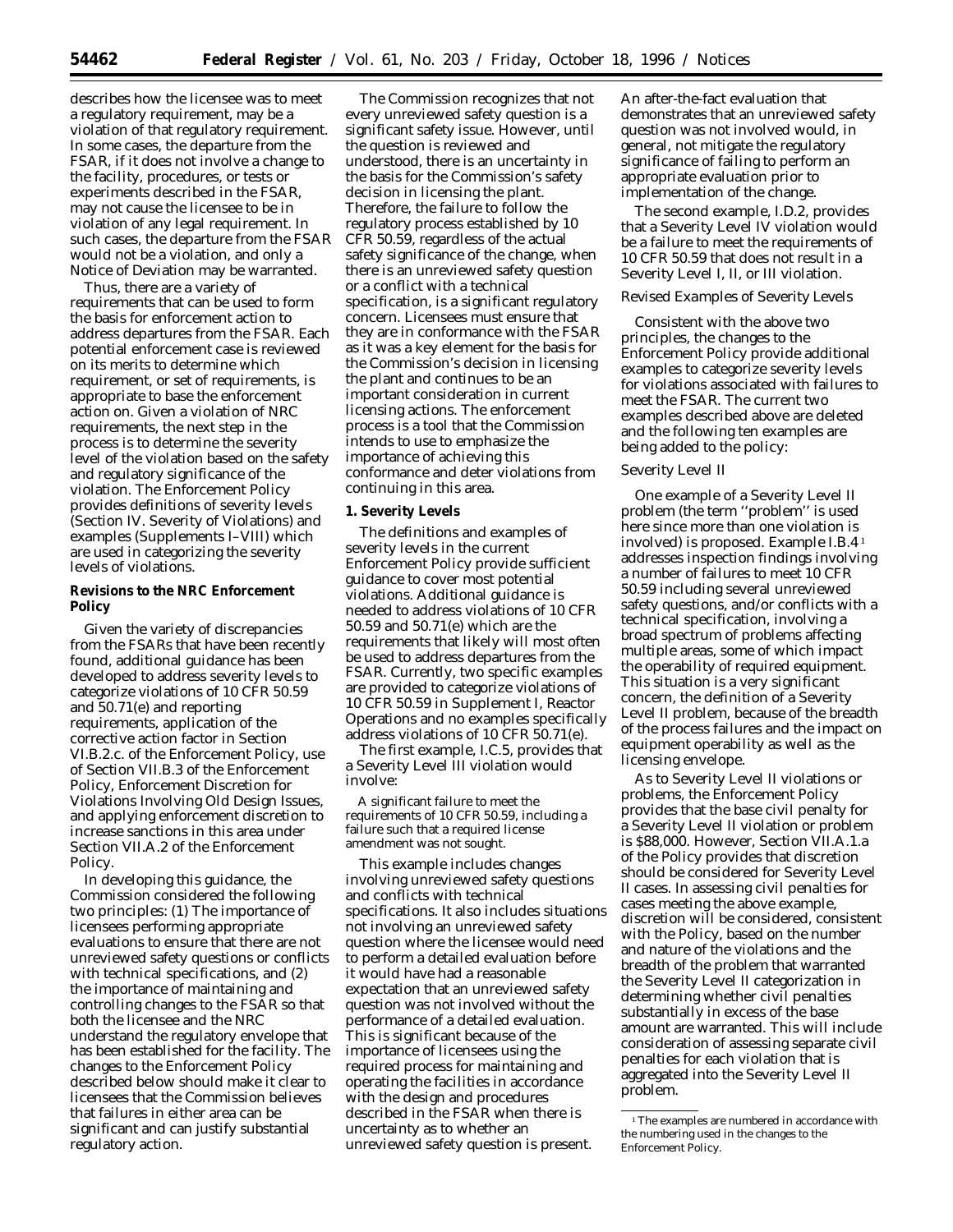describes how the licensee was to meet a regulatory requirement, may be a violation of that regulatory requirement. In some cases, the departure from the FSAR, if it does not involve a change to the facility, procedures, or tests or experiments described in the FSAR, may not cause the licensee to be in violation of any legal requirement. In such cases, the departure from the FSAR would not be a violation, and only a Notice of Deviation may be warranted.

Thus, there are a variety of requirements that can be used to form the basis for enforcement action to address departures from the FSAR. Each potential enforcement case is reviewed on its merits to determine which requirement, or set of requirements, is appropriate to base the enforcement action on. Given a violation of NRC requirements, the next step in the process is to determine the severity level of the violation based on the safety and regulatory significance of the violation. The Enforcement Policy provides definitions of severity levels (Section IV. Severity of Violations) and examples (Supplements I–VIII) which are used in categorizing the severity levels of violations.

## **Revisions to the NRC Enforcement Policy**

Given the variety of discrepancies from the FSARs that have been recently found, additional guidance has been developed to address severity levels to categorize violations of 10 CFR 50.59 and 50.71(e) and reporting requirements, application of the corrective action factor in Section VI.B.2.c. of the Enforcement Policy, use of Section VII.B.3 of the Enforcement Policy, Enforcement Discretion for Violations Involving Old Design Issues, and applying enforcement discretion to increase sanctions in this area under Section VII.A.2 of the Enforcement Policy.

In developing this guidance, the Commission considered the following two principles: (1) The importance of licensees performing appropriate evaluations to ensure that there are not unreviewed safety questions or conflicts with technical specifications, and (2) the importance of maintaining and controlling changes to the FSAR so that both the licensee and the NRC understand the regulatory envelope that has been established for the facility. The changes to the Enforcement Policy described below should make it clear to licensees that the Commission believes that failures in either area can be significant and can justify substantial regulatory action.

The Commission recognizes that not every unreviewed safety question is a significant safety issue. However, until the question is reviewed and understood, there is an uncertainty in the basis for the Commission's safety decision in licensing the plant. Therefore, the failure to follow the regulatory process established by 10 CFR 50.59, regardless of the actual safety significance of the change, when there is an unreviewed safety question or a conflict with a technical specification, is a significant regulatory concern. Licensees must ensure that they are in conformance with the FSAR as it was a key element for the basis for the Commission's decision in licensing the plant and continues to be an important consideration in current licensing actions. The enforcement process is a tool that the Commission intends to use to emphasize the importance of achieving this conformance and deter violations from continuing in this area.

## **1. Severity Levels**

The definitions and examples of severity levels in the current Enforcement Policy provide sufficient guidance to cover most potential violations. Additional guidance is needed to address violations of 10 CFR 50.59 and 50.71(e) which are the requirements that likely will most often be used to address departures from the FSAR. Currently, two specific examples are provided to categorize violations of 10 CFR 50.59 in Supplement I, Reactor Operations and no examples specifically address violations of 10 CFR 50.71(e).

The first example, I.C.5, provides that a Severity Level III violation would involve:

A significant failure to meet the requirements of 10 CFR 50.59, including a failure such that a required license amendment was not sought.

This example includes changes involving unreviewed safety questions and conflicts with technical specifications. It also includes situations not involving an unreviewed safety question where the licensee would need to perform a detailed evaluation before it would have had a reasonable expectation that an unreviewed safety question was not involved without the performance of a detailed evaluation. This is significant because of the importance of licensees using the required process for maintaining and operating the facilities in accordance with the design and procedures described in the FSAR when there is uncertainty as to whether an unreviewed safety question is present.

An after-the-fact evaluation that demonstrates that an unreviewed safety question was not involved would, in general, not mitigate the regulatory significance of failing to perform an appropriate evaluation prior to implementation of the change.

The second example, I.D.2, provides that a Severity Level IV violation would be a failure to meet the requirements of 10 CFR 50.59 that does not result in a Severity Level I, II, or III violation.

### *Revised Examples of Severity Levels*

Consistent with the above two principles, the changes to the Enforcement Policy provide additional examples to categorize severity levels for violations associated with failures to meet the FSAR. The current two examples described above are deleted and the following ten examples are being added to the policy:

#### Severity Level II

One example of a Severity Level II problem (the term ''problem'' is used here since more than one violation is involved) is proposed. Example I.B.4 1 addresses inspection findings involving a number of failures to meet 10 CFR 50.59 including several unreviewed safety questions, and/or conflicts with a technical specification, involving a broad spectrum of problems affecting multiple areas, some of which impact the operability of required equipment. This situation is a very significant concern, the definition of a Severity Level II problem, because of the breadth of the process failures and the impact on equipment operability as well as the licensing envelope.

As to Severity Level II violations or problems, the Enforcement Policy provides that the base civil penalty for a Severity Level II violation or problem is \$88,000. However, Section VII.A.1.a of the Policy provides that discretion should be considered for Severity Level II cases. In assessing civil penalties for cases meeting the above example, discretion will be considered, consistent with the Policy, based on the number and nature of the violations and the breadth of the problem that warranted the Severity Level II categorization in determining whether civil penalties substantially in excess of the base amount are warranted. This will include consideration of assessing separate civil penalties for each violation that is aggregated into the Severity Level II problem.

<sup>&</sup>lt;sup>1</sup>The examples are numbered in accordance with the numbering used in the changes to the Enforcement Policy.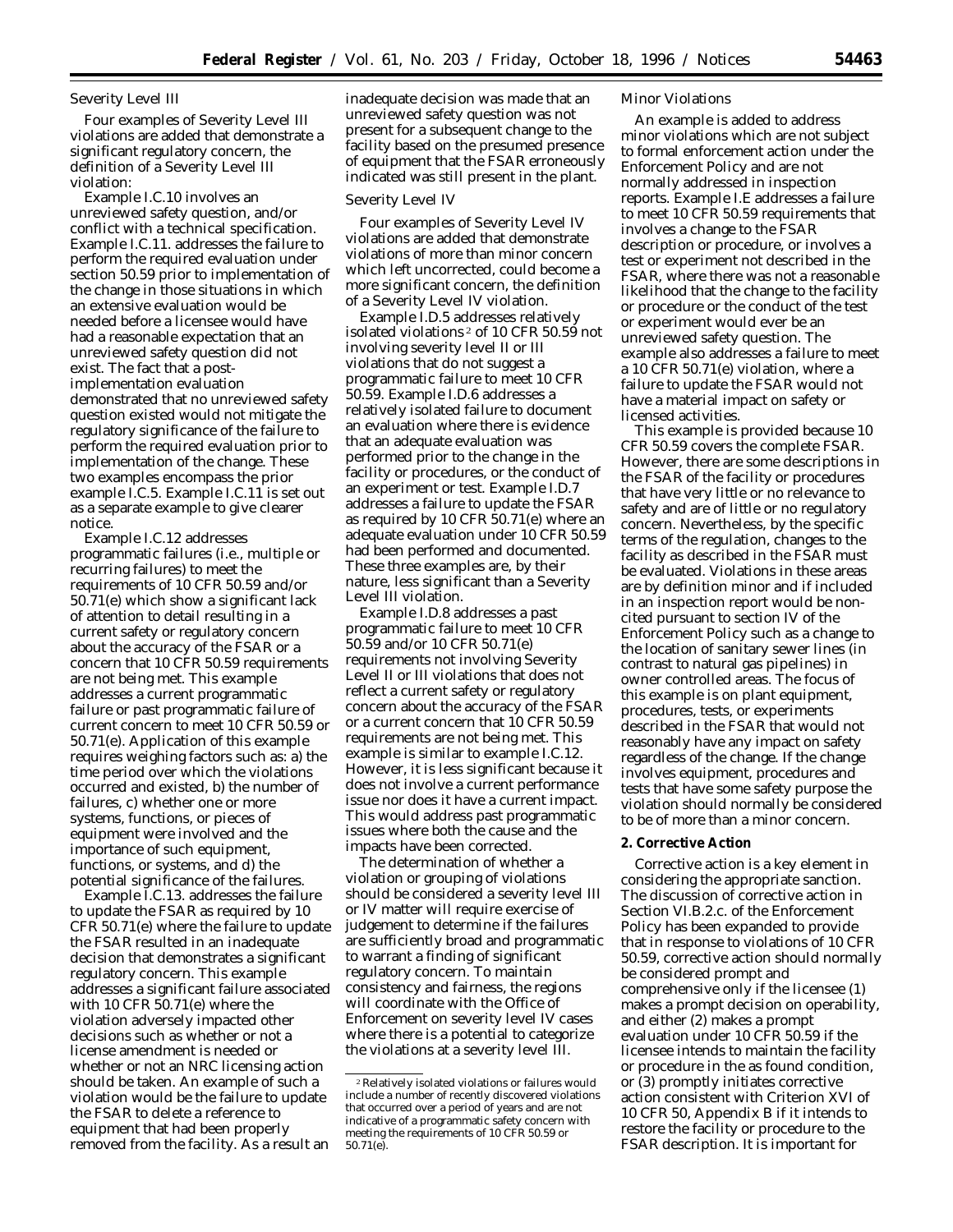#### Severity Level III

Four examples of Severity Level III violations are added that demonstrate a significant regulatory concern, the definition of a Severity Level III violation:

Example I.C.10 involves an unreviewed safety question, and/or conflict with a technical specification. Example I.C.11. addresses the failure to perform the required evaluation under section 50.59 prior to implementation of the change in those situations in which an extensive evaluation would be needed before a licensee would have had a reasonable expectation that an unreviewed safety question did not exist. The fact that a postimplementation evaluation demonstrated that no unreviewed safety question existed would not mitigate the regulatory significance of the failure to perform the required evaluation prior to implementation of the change. These two examples encompass the prior example I.C.5. Example I.C.11 is set out as a separate example to give clearer notice.

Example I.C.12 addresses programmatic failures (i.e., multiple or recurring failures) to meet the requirements of 10 CFR 50.59 and/or 50.71(e) which show a significant lack of attention to detail resulting in a current safety or regulatory concern about the accuracy of the FSAR or a concern that 10 CFR 50.59 requirements are not being met. This example addresses a current programmatic failure or past programmatic failure of current concern to meet 10 CFR 50.59 or 50.71(e). Application of this example requires weighing factors such as: a) the time period over which the violations occurred and existed, b) the number of failures, c) whether one or more systems, functions, or pieces of equipment were involved and the importance of such equipment, functions, or systems, and d) the potential significance of the failures.

Example I.C.13. addresses the failure to update the FSAR as required by 10 CFR 50.71(e) where the failure to update the FSAR resulted in an inadequate decision that demonstrates a significant regulatory concern. This example addresses a significant failure associated with 10 CFR 50.71(e) where the violation adversely impacted other decisions such as whether or not a license amendment is needed or whether or not an NRC licensing action should be taken. An example of such a violation would be the failure to update the FSAR to delete a reference to equipment that had been properly removed from the facility. As a result an

inadequate decision was made that an unreviewed safety question was not present for a subsequent change to the facility based on the presumed presence of equipment that the FSAR erroneously indicated was still present in the plant.

#### Severity Level IV

Four examples of Severity Level IV violations are added that demonstrate violations of more than minor concern which left uncorrected, could become a more significant concern, the definition of a Severity Level IV violation.

Example I.D.5 addresses relatively isolated violations 2 of 10 CFR 50.59 not involving severity level II or III violations that do not suggest a programmatic failure to meet 10 CFR 50.59. Example I.D.6 addresses a relatively isolated failure to document an evaluation where there is evidence that an adequate evaluation was performed prior to the change in the facility or procedures, or the conduct of an experiment or test. Example I.D.7 addresses a failure to update the FSAR as required by 10 CFR 50.71(e) where an adequate evaluation under 10 CFR 50.59 had been performed and documented. These three examples are, by their nature, less significant than a Severity Level III violation.

Example I.D.8 addresses a past programmatic failure to meet 10 CFR 50.59 and/or 10 CFR 50.71(e) requirements not involving Severity Level II or III violations that does not reflect a current safety or regulatory concern about the accuracy of the FSAR or a current concern that 10 CFR 50.59 requirements are not being met. This example is similar to example I.C.12. However, it is less significant because it does not involve a current performance issue nor does it have a current impact. This would address past programmatic issues where both the cause and the impacts have been corrected.

The determination of whether a violation or grouping of violations should be considered a severity level III or IV matter will require exercise of judgement to determine if the failures are sufficiently broad and programmatic to warrant a finding of significant regulatory concern. To maintain consistency and fairness, the regions will coordinate with the Office of Enforcement on severity level IV cases where there is a potential to categorize the violations at a severity level III.

### Minor Violations

An example is added to address minor violations which are not subject to formal enforcement action under the Enforcement Policy and are not normally addressed in inspection reports. Example I.E addresses a failure to meet 10 CFR 50.59 requirements that involves a change to the FSAR description or procedure, or involves a test or experiment not described in the FSAR, where there was not a reasonable likelihood that the change to the facility or procedure or the conduct of the test or experiment would ever be an unreviewed safety question. The example also addresses a failure to meet a 10 CFR 50.71(e) violation, where a failure to update the FSAR would not have a material impact on safety or licensed activities.

This example is provided because 10 CFR 50.59 covers the complete FSAR. However, there are some descriptions in the FSAR of the facility or procedures that have very little or no relevance to safety and are of little or no regulatory concern. Nevertheless, by the specific terms of the regulation, changes to the facility as described in the FSAR must be evaluated. Violations in these areas are by definition minor and if included in an inspection report would be noncited pursuant to section IV of the Enforcement Policy such as a change to the location of sanitary sewer lines (in contrast to natural gas pipelines) in owner controlled areas. The focus of this example is on plant equipment, procedures, tests, or experiments described in the FSAR that would not reasonably have any impact on safety regardless of the change. If the change involves equipment, procedures and tests that have some safety purpose the violation should normally be considered to be of more than a minor concern.

# **2. Corrective Action**

Corrective action is a key element in considering the appropriate sanction. The discussion of corrective action in Section VI.B.2.c. of the Enforcement Policy has been expanded to provide that in response to violations of 10 CFR 50.59, corrective action should normally be considered prompt and comprehensive only if the licensee (1) makes a prompt decision on operability, and either (2) makes a prompt evaluation under 10 CFR 50.59 if the licensee intends to maintain the facility or procedure in the as found condition, or (3) promptly initiates corrective action consistent with Criterion XVI of 10 CFR 50, Appendix B if it intends to restore the facility or procedure to the FSAR description. It is important for

<sup>2</sup>Relatively isolated violations or failures would include a number of recently discovered violations that occurred over a period of years and are not indicative of a programmatic safety concern with meeting the requirements of 10 CFR 50.59 or 50.71(e).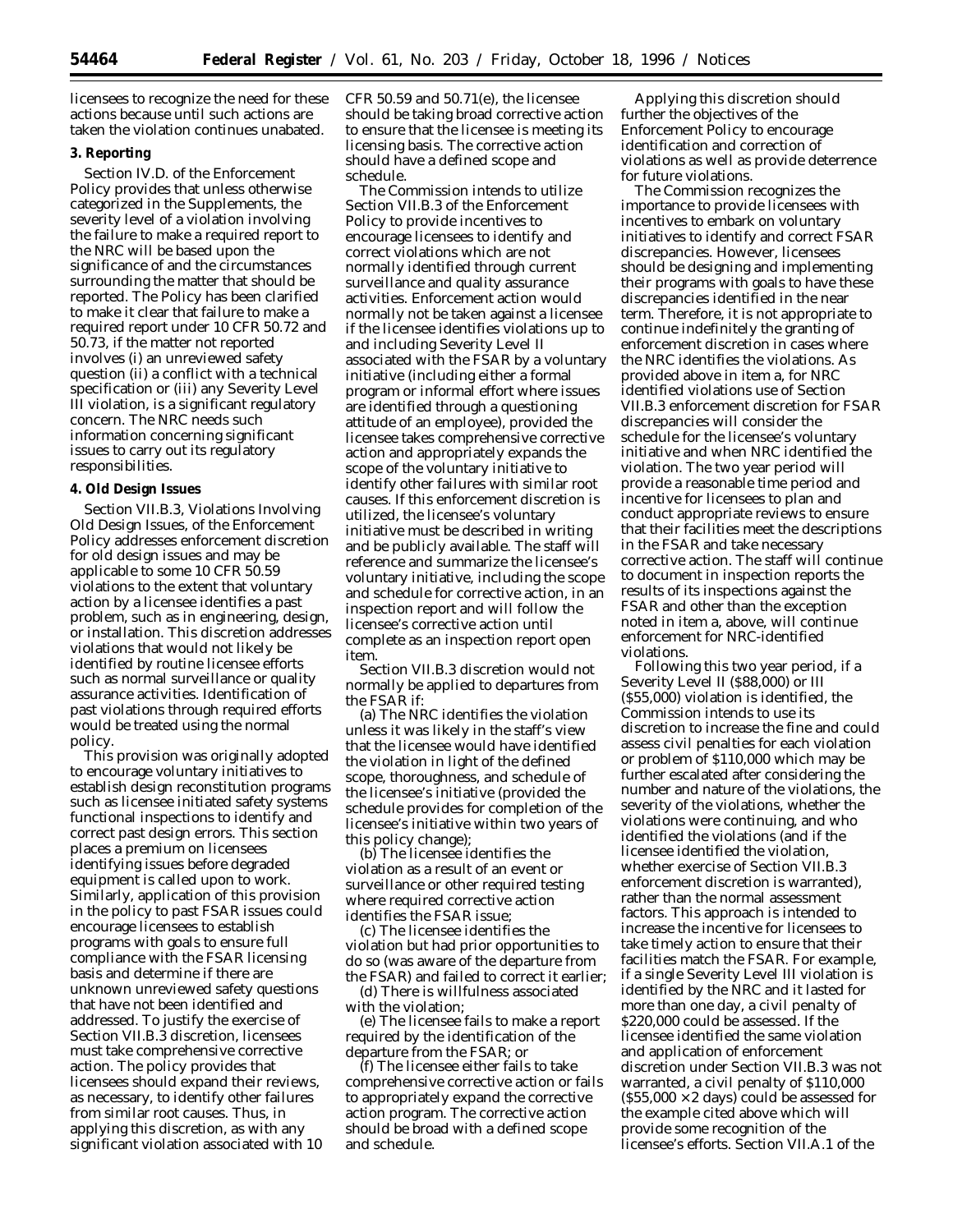licensees to recognize the need for these actions because until such actions are taken the violation continues unabated.

## **3. Reporting**

Section IV.D. of the Enforcement Policy provides that unless otherwise categorized in the Supplements, the severity level of a violation involving the failure to make a required report to the NRC will be based upon the significance of and the circumstances surrounding the matter that should be reported. The Policy has been clarified to make it clear that failure to make a required report under 10 CFR 50.72 and 50.73, if the matter not reported involves (i) an unreviewed safety question (ii) a conflict with a technical specification or (iii) any Severity Level III violation, is a significant regulatory concern. The NRC needs such information concerning significant issues to carry out its regulatory responsibilities.

### **4. Old Design Issues**

Section VII.B.3, Violations Involving Old Design Issues, of the Enforcement Policy addresses enforcement discretion for old design issues and may be applicable to some 10 CFR 50.59 violations to the extent that voluntary action by a licensee identifies a past problem, such as in engineering, design, or installation. This discretion addresses violations that would not likely be identified by routine licensee efforts such as normal surveillance or quality assurance activities. Identification of past violations through required efforts would be treated using the normal policy.

This provision was originally adopted to encourage voluntary initiatives to establish design reconstitution programs such as licensee initiated safety systems functional inspections to identify and correct past design errors. This section places a premium on licensees identifying issues before degraded equipment is called upon to work. Similarly, application of this provision in the policy to past FSAR issues could encourage licensees to establish programs with goals to ensure full compliance with the FSAR licensing basis and determine if there are unknown unreviewed safety questions that have not been identified and addressed. To justify the exercise of Section VII.B.3 discretion, licensees must take comprehensive corrective action. The policy provides that licensees should expand their reviews, as necessary, to identify other failures from similar root causes. Thus, in applying this discretion, as with any significant violation associated with 10

CFR 50.59 and 50.71(e), the licensee should be taking broad corrective action to ensure that the licensee is meeting its licensing basis. The corrective action should have a defined scope and schedule.

The Commission intends to utilize Section VII.B.3 of the Enforcement Policy to provide incentives to encourage licensees to identify and correct violations which are not normally identified through current surveillance and quality assurance activities. Enforcement action would normally not be taken against a licensee if the licensee identifies violations up to and including Severity Level II associated with the FSAR by a voluntary initiative (including either a formal program or informal effort where issues are identified through a questioning attitude of an employee), provided the licensee takes comprehensive corrective action and appropriately expands the scope of the voluntary initiative to identify other failures with similar root causes. If this enforcement discretion is utilized, the licensee's voluntary initiative must be described in writing and be publicly available. The staff will reference and summarize the licensee's voluntary initiative, including the scope and schedule for corrective action, in an inspection report and will follow the licensee's corrective action until complete as an inspection report open item.

Section VII.B.3 discretion would not normally be applied to departures from the FSAR if:

(a) The NRC identifies the violation unless it was likely in the staff's view that the licensee would have identified the violation in light of the defined scope, thoroughness, and schedule of the licensee's initiative (provided the schedule provides for completion of the licensee's initiative within two years of this policy change);

(b) The licensee identifies the violation as a result of an event or surveillance or other required testing where required corrective action identifies the FSAR issue;

(c) The licensee identifies the violation but had prior opportunities to do so (was aware of the departure from the FSAR) and failed to correct it earlier;

(d) There is willfulness associated with the violation;

(e) The licensee fails to make a report required by the identification of the departure from the FSAR; or

(f) The licensee either fails to take comprehensive corrective action or fails to appropriately expand the corrective action program. The corrective action should be broad with a defined scope and schedule.

Applying this discretion should further the objectives of the Enforcement Policy to encourage identification and correction of violations as well as provide deterrence for future violations.

The Commission recognizes the importance to provide licensees with incentives to embark on voluntary initiatives to identify and correct FSAR discrepancies. However, licensees should be designing and implementing their programs with goals to have these discrepancies identified in the near term. Therefore, it is not appropriate to continue indefinitely the granting of enforcement discretion in cases where the NRC identifies the violations. As provided above in item a, for NRC identified violations use of Section VII.B.3 enforcement discretion for FSAR discrepancies will consider the schedule for the licensee's voluntary initiative and when NRC identified the violation. The two year period will provide a reasonable time period and incentive for licensees to plan and conduct appropriate reviews to ensure that their facilities meet the descriptions in the FSAR and take necessary corrective action. The staff will continue to document in inspection reports the results of its inspections against the FSAR and other than the exception noted in item a, above, will continue enforcement for NRC-identified violations.

Following this two year period, if a Severity Level II (\$88,000) or III (\$55,000) violation is identified, the Commission intends to use its discretion to increase the fine and could assess civil penalties for each violation or problem of \$110,000 which may be further escalated after considering the number and nature of the violations, the severity of the violations, whether the violations were continuing, and who identified the violations (and if the licensee identified the violation, whether exercise of Section VII.B.3 enforcement discretion is warranted), rather than the normal assessment factors. This approach is intended to increase the incentive for licensees to take timely action to ensure that their facilities match the FSAR. For example, if a single Severity Level III violation is identified by the NRC and it lasted for more than one day, a civil penalty of \$220,000 could be assessed. If the licensee identified the same violation and application of enforcement discretion under Section VII.B.3 was not warranted, a civil penalty of \$110,000  $($ \$55,000  $\times$  2 days) could be assessed for the example cited above which will provide some recognition of the licensee's efforts. Section VII.A.1 of the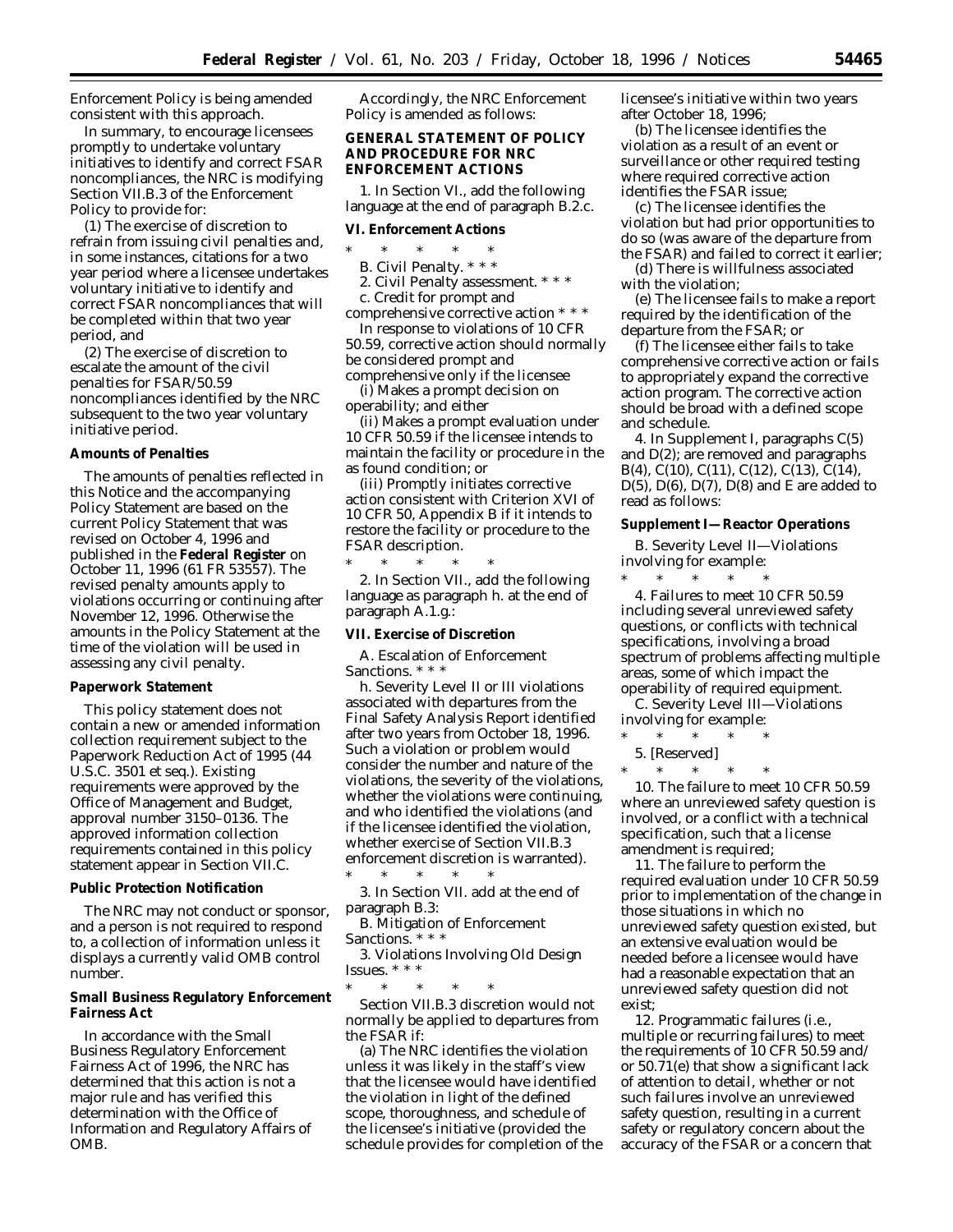Enforcement Policy is being amended consistent with this approach.

In summary, to encourage licensees promptly to undertake voluntary initiatives to identify and correct FSAR noncompliances, the NRC is modifying Section VII.B.3 of the Enforcement Policy to provide for:

(1) The exercise of discretion to refrain from issuing civil penalties and, in some instances, citations for a two year period where a licensee undertakes voluntary initiative to identify and correct FSAR noncompliances that will be completed within that two year period, and

(2) The exercise of discretion to escalate the amount of the civil penalties for FSAR/50.59 noncompliances identified by the NRC subsequent to the two year voluntary initiative period.

#### **Amounts of Penalties**

The amounts of penalties reflected in this Notice and the accompanying Policy Statement are based on the current Policy Statement that was revised on October 4, 1996 and published in the **Federal Register** on October 11, 1996 (61 FR 53557). The revised penalty amounts apply to violations occurring or continuing after November 12, 1996. Otherwise the amounts in the Policy Statement at the time of the violation will be used in assessing any civil penalty.

#### **Paperwork Statement**

This policy statement does not contain a new or amended information collection requirement subject to the Paperwork Reduction Act of 1995 (44 U.S.C. 3501 et seq.). Existing requirements were approved by the Office of Management and Budget, approval number 3150–0136. The approved information collection requirements contained in this policy statement appear in Section VII.C.

#### **Public Protection Notification**

The NRC may not conduct or sponsor, and a person is not required to respond to, a collection of information unless it displays a currently valid OMB control number.

**Small Business Regulatory Enforcement Fairness Act**

In accordance with the Small Business Regulatory Enforcement Fairness Act of 1996, the NRC has determined that this action is not a major rule and has verified this determination with the Office of Information and Regulatory Affairs of OMB.

Accordingly, the NRC Enforcement Policy is amended as follows:

**GENERAL STATEMENT OF POLICY AND PROCEDURE FOR NRC ENFORCEMENT ACTIONS**

1. In Section VI., add the following language at the end of paragraph B.2.c.

**VI. Enforcement Actions**

- \* \* \* \* \*
- B. Civil Penalty. \* \* \*

2. Civil Penalty assessment. \* \* \*

c. Credit for prompt and comprehensive corrective action \* \* \*

In response to violations of 10 CFR 50.59, corrective action should normally be considered prompt and comprehensive only if the licensee

(i) Makes a prompt decision on operability; and either

(ii) Makes a prompt evaluation under 10 CFR 50.59 if the licensee intends to maintain the facility or procedure in the as found condition; or

(iii) Promptly initiates corrective action consistent with Criterion XVI of 10 CFR 50, Appendix B if it intends to restore the facility or procedure to the FSAR description.

\* \* \* \* \* 2. In Section VII., add the following language as paragraph h. at the end of paragraph A.1.g.:

**VII. Exercise of Discretion**

A. Escalation of Enforcement Sanctions. \* \* \*

h. Severity Level II or III violations associated with departures from the Final Safety Analysis Report identified after two years from October 18, 1996. Such a violation or problem would consider the number and nature of the violations, the severity of the violations, whether the violations were continuing, and who identified the violations (and if the licensee identified the violation, whether exercise of Section VII.B.3 enforcement discretion is warranted). \* \* \* \* \*

3. In Section VII. add at the end of paragraph B.3:

B. Mitigation of Enforcement Sanctions. \* \* \*

3. Violations Involving Old Design Issues. \* \* \*

\* \* \* \* \* Section VII.B.3 discretion would not normally be applied to departures from the FSAR if:

(a) The NRC identifies the violation unless it was likely in the staff's view that the licensee would have identified the violation in light of the defined scope, thoroughness, and schedule of the licensee's initiative (provided the schedule provides for completion of the licensee's initiative within two years after October 18, 1996;

(b) The licensee identifies the violation as a result of an event or surveillance or other required testing where required corrective action identifies the FSAR issue;

(c) The licensee identifies the violation but had prior opportunities to do so (was aware of the departure from the FSAR) and failed to correct it earlier;

(d) There is willfulness associated with the violation;

(e) The licensee fails to make a report required by the identification of the departure from the FSAR; or

(f) The licensee either fails to take comprehensive corrective action or fails to appropriately expand the corrective action program. The corrective action should be broad with a defined scope and schedule.

4. In Supplement I, paragraphs C(5) and D(2); are removed and paragraphs B(4), C(10), C(11), C(12), C(13), C(14), D(5),  $D(6)$ ,  $D(7)$ ,  $D(8)$  and E are added to read as follows:

**Supplement I—Reactor Operations**

B. Severity Level II—Violations involving for example:

\* \* \* \* \* 4. Failures to meet 10 CFR 50.59 including several unreviewed safety questions, or conflicts with technical specifications, involving a broad spectrum of problems affecting multiple areas, some of which impact the operability of required equipment.

C. Severity Level III—Violations involving for example:<br>\* \* \* \* \* \* \* \* \*

- \* \* \* \* \*
- 5. [Reserved]
- $*$  \*

10. The failure to meet 10 CFR 50.59 where an unreviewed safety question is involved, or a conflict with a technical specification, such that a license amendment is required;

11. The failure to perform the required evaluation under 10 CFR 50.59 prior to implementation of the change in those situations in which no unreviewed safety question existed, but an extensive evaluation would be needed before a licensee would have had a reasonable expectation that an unreviewed safety question did not exist;

12. Programmatic failures (i.e., multiple or recurring failures) to meet the requirements of 10 CFR 50.59 and/ or 50.71(e) that show a significant lack of attention to detail, whether or not such failures involve an unreviewed safety question, resulting in a current safety or regulatory concern about the accuracy of the FSAR or a concern that